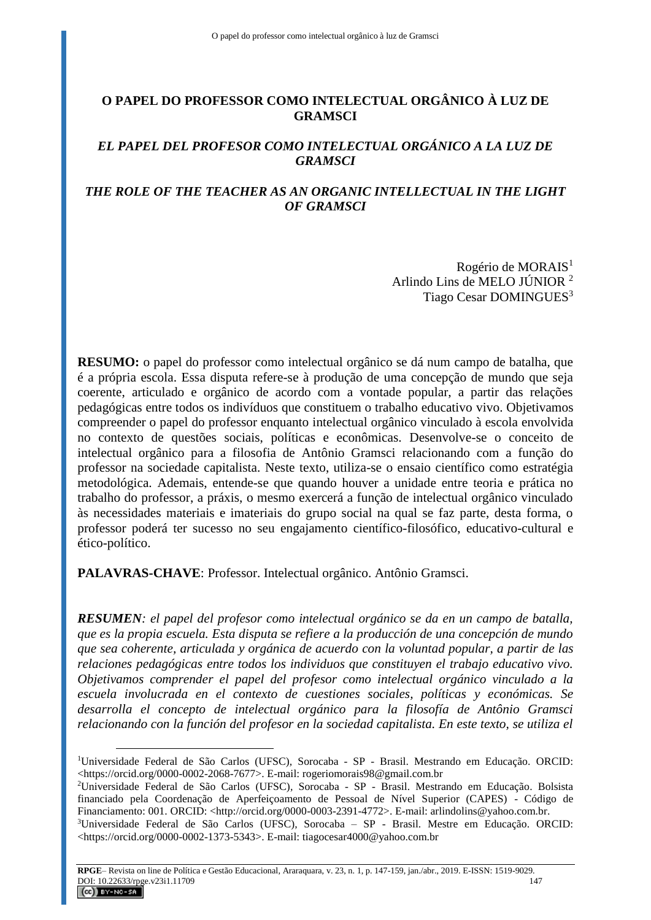# **O PAPEL DO PROFESSOR COMO INTELECTUAL ORGÂNICO À LUZ DE GRAMSCI**

# *EL PAPEL DEL PROFESOR COMO INTELECTUAL ORGÁNICO A LA LUZ DE GRAMSCI*

## *THE ROLE OF THE TEACHER AS AN ORGANIC INTELLECTUAL IN THE LIGHT OF GRAMSCI*

Rogério de MORAIS<sup>1</sup> Arlindo Lins de MELO JÚNIOR <sup>2</sup> Tiago Cesar DOMINGUES<sup>3</sup>

**RESUMO:** o papel do professor como intelectual orgânico se dá num campo de batalha, que é a própria escola. Essa disputa refere-se à produção de uma concepção de mundo que seja coerente, articulado e orgânico de acordo com a vontade popular, a partir das relações pedagógicas entre todos os indivíduos que constituem o trabalho educativo vivo. Objetivamos compreender o papel do professor enquanto intelectual orgânico vinculado à escola envolvida no contexto de questões sociais, políticas e econômicas. Desenvolve-se o conceito de intelectual orgânico para a filosofia de Antônio Gramsci relacionando com a função do professor na sociedade capitalista. Neste texto, utiliza-se o ensaio científico como estratégia metodológica. Ademais, entende-se que quando houver a unidade entre teoria e prática no trabalho do professor, a práxis, o mesmo exercerá a função de intelectual orgânico vinculado às necessidades materiais e imateriais do grupo social na qual se faz parte, desta forma, o professor poderá ter sucesso no seu engajamento científico-filosófico, educativo-cultural e ético-político.

**PALAVRAS-CHAVE**: Professor. Intelectual orgânico. Antônio Gramsci.

 $\overline{a}$ 

*RESUMEN: el papel del profesor como intelectual orgánico se da en un campo de batalla, que es la propia escuela. Esta disputa se refiere a la producción de una concepción de mundo que sea coherente, articulada y orgánica de acuerdo con la voluntad popular, a partir de las relaciones pedagógicas entre todos los individuos que constituyen el trabajo educativo vivo. Objetivamos comprender el papel del profesor como intelectual orgánico vinculado a la escuela involucrada en el contexto de cuestiones sociales, políticas y económicas. Se desarrolla el concepto de intelectual orgánico para la filosofía de Antônio Gramsci relacionando con la función del profesor en la sociedad capitalista. En este texto, se utiliza el* 

<sup>1</sup>Universidade Federal de São Carlos (UFSC)*,* Sorocaba - SP - Brasil. Mestrando em Educação. ORCID: <https://orcid.org/0000-0002-2068-7677>. E-mail: rogeriomorais98@gmail.com.br

<sup>2</sup>Universidade Federal de São Carlos (UFSC)*,* Sorocaba - SP - Brasil. Mestrando em Educação. Bolsista financiado pela Coordenação de Aperfeiçoamento de Pessoal de Nível Superior (CAPES) - Código de Financiamento: 001. ORCID: <http://orcid.org/0000-0003-2391-4772>. E-mail: arlindolins@yahoo.com.br.

<sup>3</sup>Universidade Federal de São Carlos (UFSC)*,* Sorocaba – SP - Brasil. Mestre em Educação. ORCID: <https://orcid.org/0000-0002-1373-5343>. E-mail: tiagocesar4000@yahoo.com.br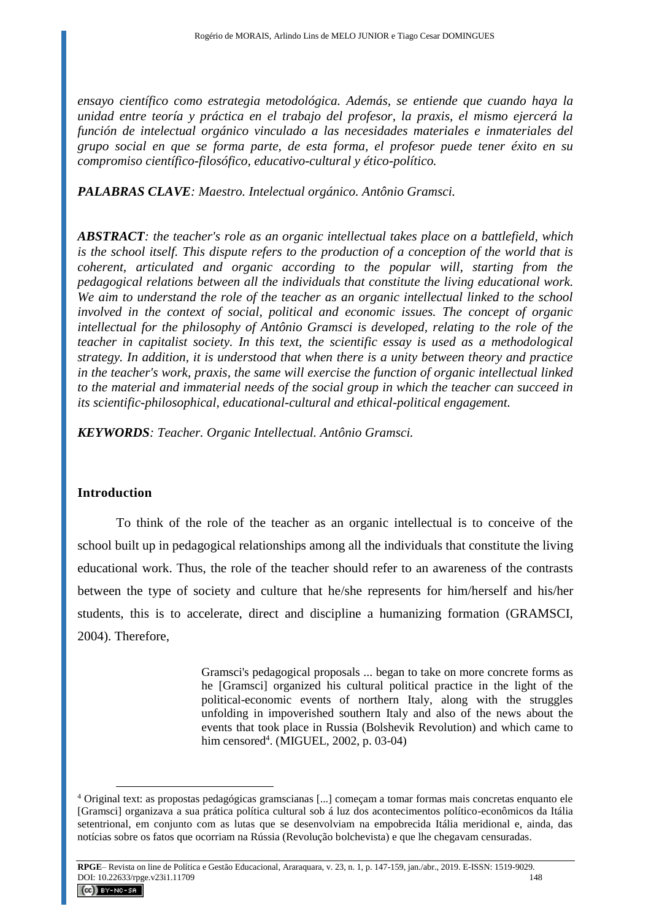*ensayo científico como estrategia metodológica. Además, se entiende que cuando haya la unidad entre teoría y práctica en el trabajo del profesor, la praxis, el mismo ejercerá la función de intelectual orgánico vinculado a las necesidades materiales e inmateriales del grupo social en que se forma parte, de esta forma, el profesor puede tener éxito en su compromiso científico-filosófico, educativo-cultural y ético-político.*

*PALABRAS CLAVE: Maestro. Intelectual orgánico. Antônio Gramsci.*

*ABSTRACT: the teacher's role as an organic intellectual takes place on a battlefield, which is the school itself. This dispute refers to the production of a conception of the world that is coherent, articulated and organic according to the popular will, starting from the pedagogical relations between all the individuals that constitute the living educational work. We aim to understand the role of the teacher as an organic intellectual linked to the school involved in the context of social, political and economic issues. The concept of organic intellectual for the philosophy of Antônio Gramsci is developed, relating to the role of the teacher in capitalist society. In this text, the scientific essay is used as a methodological strategy. In addition, it is understood that when there is a unity between theory and practice in the teacher's work, praxis, the same will exercise the function of organic intellectual linked to the material and immaterial needs of the social group in which the teacher can succeed in its scientific-philosophical, educational-cultural and ethical-political engagement.*

*KEYWORDS: Teacher. Organic Intellectual. Antônio Gramsci.*

## **Introduction**

To think of the role of the teacher as an organic intellectual is to conceive of the school built up in pedagogical relationships among all the individuals that constitute the living educational work. Thus, the role of the teacher should refer to an awareness of the contrasts between the type of society and culture that he/she represents for him/herself and his/her students, this is to accelerate, direct and discipline a humanizing formation (GRAMSCI, 2004). Therefore,

> Gramsci's pedagogical proposals ... began to take on more concrete forms as he [Gramsci] organized his cultural political practice in the light of the political-economic events of northern Italy, along with the struggles unfolding in impoverished southern Italy and also of the news about the events that took place in Russia (Bolshevik Revolution) and which came to him censored<sup>4</sup>. (MIGUEL, 2002, p. 03-04)

<sup>4</sup> Original text: as propostas pedagógicas gramscianas [...] começam a tomar formas mais concretas enquanto ele [Gramsci] organizava a sua prática política cultural sob á luz dos acontecimentos político-econômicos da Itália setentrional, em conjunto com as lutas que se desenvolviam na empobrecida Itália meridional e, ainda, das notícias sobre os fatos que ocorriam na Rússia (Revolução bolchevista) e que lhe chegavam censuradas.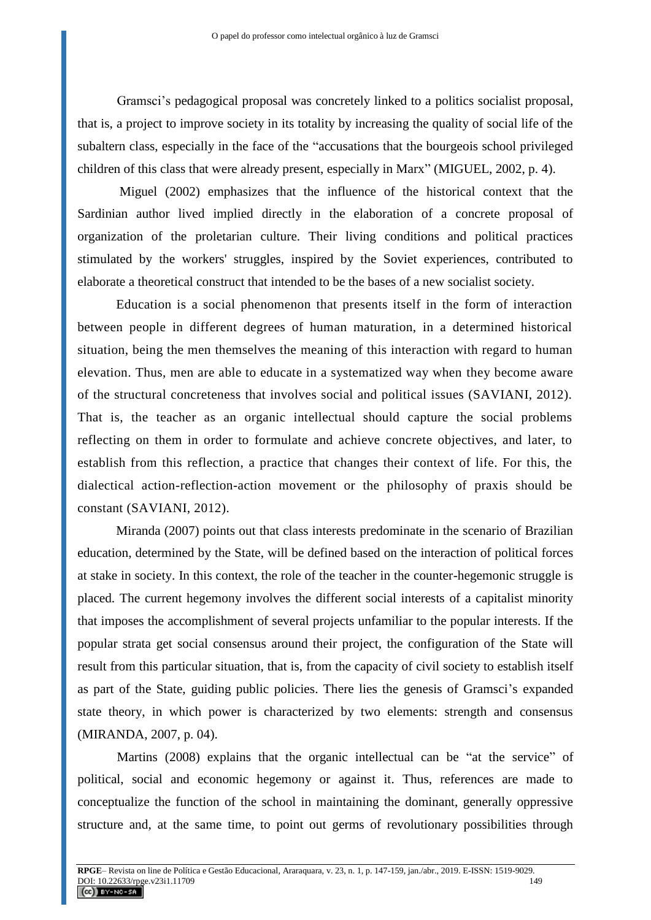Gramsci's pedagogical proposal was concretely linked to a politics socialist proposal, that is, a project to improve society in its totality by increasing the quality of social life of the subaltern class, especially in the face of the "accusations that the bourgeois school privileged children of this class that were already present, especially in Marx" (MIGUEL, 2002, p. 4).

Miguel (2002) emphasizes that the influence of the historical context that the Sardinian author lived implied directly in the elaboration of a concrete proposal of organization of the proletarian culture. Their living conditions and political practices stimulated by the workers' struggles, inspired by the Soviet experiences, contributed to elaborate a theoretical construct that intended to be the bases of a new socialist society.

Education is a social phenomenon that presents itself in the form of interaction between people in different degrees of human maturation, in a determined historical situation, being the men themselves the meaning of this interaction with regard to human elevation. Thus, men are able to educate in a systematized way when they become aware of the structural concreteness that involves social and political issues (SAVIANI, 2012). That is, the teacher as an organic intellectual should capture the social problems reflecting on them in order to formulate and achieve concrete objectives, and later, to establish from this reflection, a practice that changes their context of life. For this, the dialectical action-reflection-action movement or the philosophy of praxis should be constant (SAVIANI, 2012).

Miranda (2007) points out that class interests predominate in the scenario of Brazilian education, determined by the State, will be defined based on the interaction of political forces at stake in society. In this context, the role of the teacher in the counter-hegemonic struggle is placed. The current hegemony involves the different social interests of a capitalist minority that imposes the accomplishment of several projects unfamiliar to the popular interests. If the popular strata get social consensus around their project, the configuration of the State will result from this particular situation, that is, from the capacity of civil society to establish itself as part of the State, guiding public policies. There lies the genesis of Gramsci's expanded state theory, in which power is characterized by two elements: strength and consensus (MIRANDA, 2007, p. 04).

Martins (2008) explains that the organic intellectual can be "at the service" of political, social and economic hegemony or against it. Thus, references are made to conceptualize the function of the school in maintaining the dominant, generally oppressive structure and, at the same time, to point out germs of revolutionary possibilities through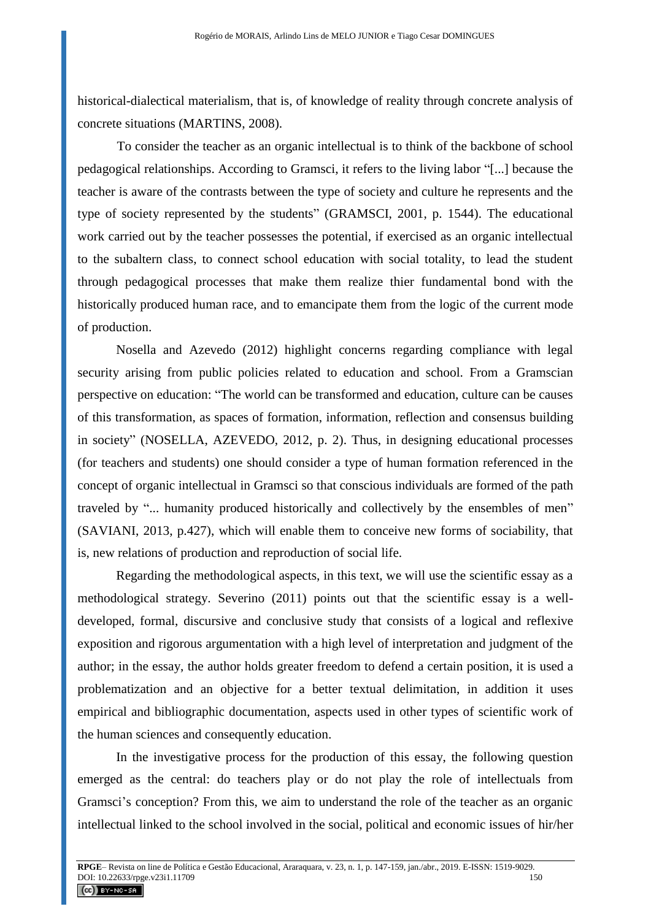historical-dialectical materialism, that is, of knowledge of reality through concrete analysis of concrete situations (MARTINS, 2008).

To consider the teacher as an organic intellectual is to think of the backbone of school pedagogical relationships. According to Gramsci, it refers to the living labor "[...] because the teacher is aware of the contrasts between the type of society and culture he represents and the type of society represented by the students" (GRAMSCI, 2001, p. 1544). The educational work carried out by the teacher possesses the potential, if exercised as an organic intellectual to the subaltern class, to connect school education with social totality, to lead the student through pedagogical processes that make them realize thier fundamental bond with the historically produced human race, and to emancipate them from the logic of the current mode of production.

Nosella and Azevedo (2012) highlight concerns regarding compliance with legal security arising from public policies related to education and school. From a Gramscian perspective on education: "The world can be transformed and education, culture can be causes of this transformation, as spaces of formation, information, reflection and consensus building in society" (NOSELLA, AZEVEDO, 2012, p. 2). Thus, in designing educational processes (for teachers and students) one should consider a type of human formation referenced in the concept of organic intellectual in Gramsci so that conscious individuals are formed of the path traveled by "... humanity produced historically and collectively by the ensembles of men" (SAVIANI, 2013, p.427), which will enable them to conceive new forms of sociability, that is, new relations of production and reproduction of social life.

Regarding the methodological aspects, in this text, we will use the scientific essay as a methodological strategy. Severino (2011) points out that the scientific essay is a welldeveloped, formal, discursive and conclusive study that consists of a logical and reflexive exposition and rigorous argumentation with a high level of interpretation and judgment of the author; in the essay, the author holds greater freedom to defend a certain position, it is used a problematization and an objective for a better textual delimitation, in addition it uses empirical and bibliographic documentation, aspects used in other types of scientific work of the human sciences and consequently education.

In the investigative process for the production of this essay, the following question emerged as the central: do teachers play or do not play the role of intellectuals from Gramsci's conception? From this, we aim to understand the role of the teacher as an organic intellectual linked to the school involved in the social, political and economic issues of hir/her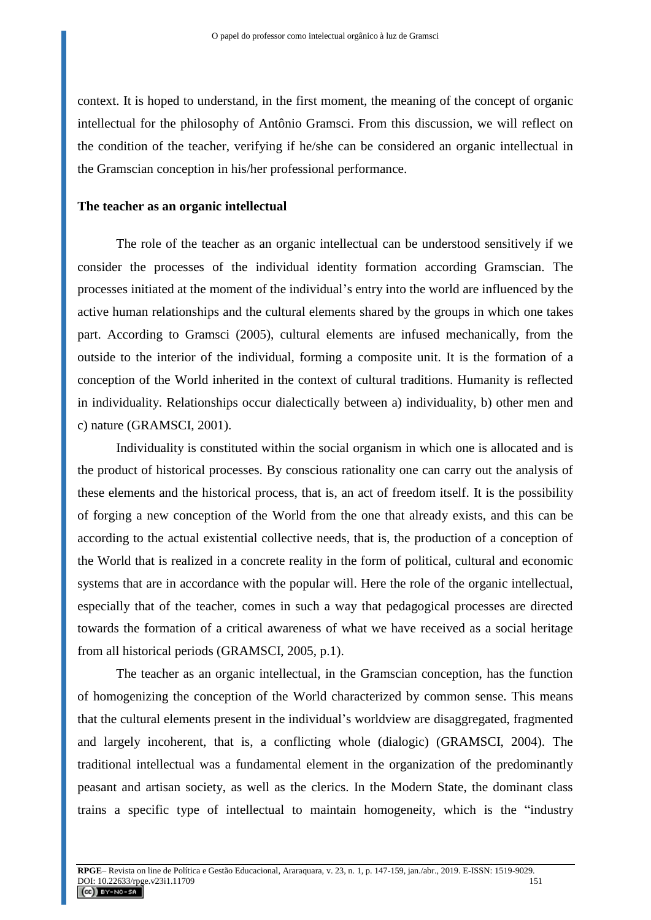context. It is hoped to understand, in the first moment, the meaning of the concept of organic intellectual for the philosophy of Antônio Gramsci. From this discussion, we will reflect on the condition of the teacher, verifying if he/she can be considered an organic intellectual in the Gramscian conception in his/her professional performance.

#### **The teacher as an organic intellectual**

The role of the teacher as an organic intellectual can be understood sensitively if we consider the processes of the individual identity formation according Gramscian. The processes initiated at the moment of the individual's entry into the world are influenced by the active human relationships and the cultural elements shared by the groups in which one takes part. According to Gramsci (2005), cultural elements are infused mechanically, from the outside to the interior of the individual, forming a composite unit. It is the formation of a conception of the World inherited in the context of cultural traditions. Humanity is reflected in individuality. Relationships occur dialectically between a) individuality, b) other men and c) nature (GRAMSCI, 2001).

Individuality is constituted within the social organism in which one is allocated and is the product of historical processes. By conscious rationality one can carry out the analysis of these elements and the historical process, that is, an act of freedom itself. It is the possibility of forging a new conception of the World from the one that already exists, and this can be according to the actual existential collective needs, that is, the production of a conception of the World that is realized in a concrete reality in the form of political, cultural and economic systems that are in accordance with the popular will. Here the role of the organic intellectual, especially that of the teacher, comes in such a way that pedagogical processes are directed towards the formation of a critical awareness of what we have received as a social heritage from all historical periods (GRAMSCI, 2005, p.1).

The teacher as an organic intellectual, in the Gramscian conception, has the function of homogenizing the conception of the World characterized by common sense. This means that the cultural elements present in the individual's worldview are disaggregated, fragmented and largely incoherent, that is, a conflicting whole (dialogic) (GRAMSCI, 2004). The traditional intellectual was a fundamental element in the organization of the predominantly peasant and artisan society, as well as the clerics. In the Modern State, the dominant class trains a specific type of intellectual to maintain homogeneity, which is the "industry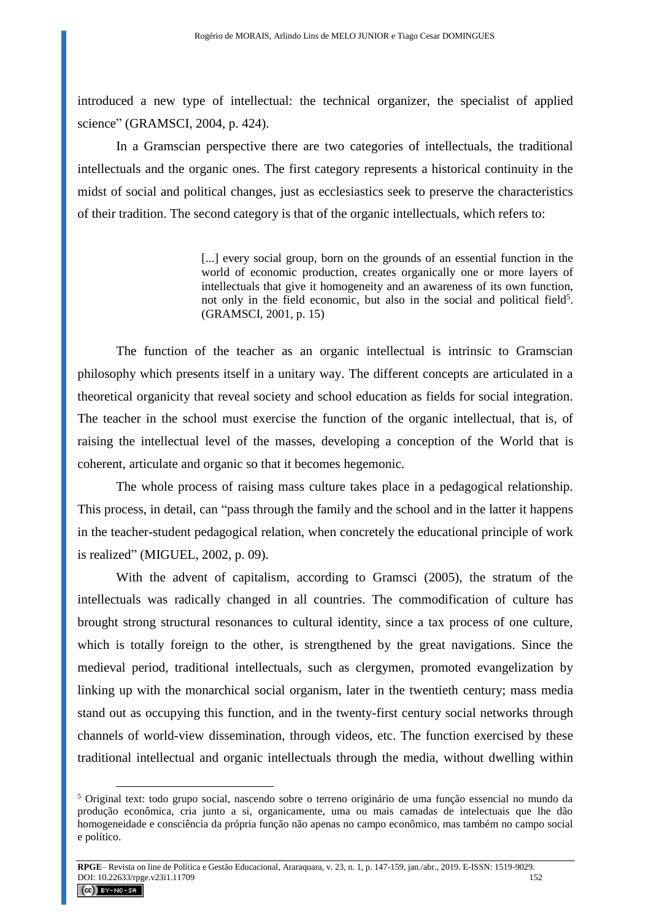introduced a new type of intellectual: the technical organizer, the specialist of applied science" (GRAMSCI, 2004, p. 424).

In a Gramscian perspective there are two categories of intellectuals, the traditional intellectuals and the organic ones. The first category represents a historical continuity in the midst of social and political changes, just as ecclesiastics seek to preserve the characteristics of their tradition. The second category is that of the organic intellectuals, which refers to:

> [...] every social group, born on the grounds of an essential function in the world of economic production, creates organically one or more layers of intellectuals that give it homogeneity and an awareness of its own function, not only in the field economic, but also in the social and political field<sup>5</sup>. (GRAMSCI, 2001, p. 15)

The function of the teacher as an organic intellectual is intrinsic to Gramscian philosophy which presents itself in a unitary way. The different concepts are articulated in a theoretical organicity that reveal society and school education as fields for social integration. The teacher in the school must exercise the function of the organic intellectual, that is, of raising the intellectual level of the masses, developing a conception of the World that is coherent, articulate and organic so that it becomes hegemonic.

The whole process of raising mass culture takes place in a pedagogical relationship. This process, in detail, can "pass through the family and the school and in the latter it happens in the teacher-student pedagogical relation, when concretely the educational principle of work is realized" (MIGUEL, 2002, p. 09).

With the advent of capitalism, according to Gramsci (2005), the stratum of the intellectuals was radically changed in all countries. The commodification of culture has brought strong structural resonances to cultural identity, since a tax process of one culture, which is totally foreign to the other, is strengthened by the great navigations. Since the medieval period, traditional intellectuals, such as clergymen, promoted evangelization by linking up with the monarchical social organism, later in the twentieth century; mass media stand out as occupying this function, and in the twenty-first century social networks through channels of world-view dissemination, through videos, etc. The function exercised by these traditional intellectual and organic intellectuals through the media, without dwelling within

<sup>5</sup> Original text: todo grupo social, nascendo sobre o terreno originário de uma função essencial no mundo da produção econômica, cria junto a si, organicamente, uma ou mais camadas de intelectuais que lhe dão homogeneidade e consciência da própria função não apenas no campo econômico, mas também no campo social e político.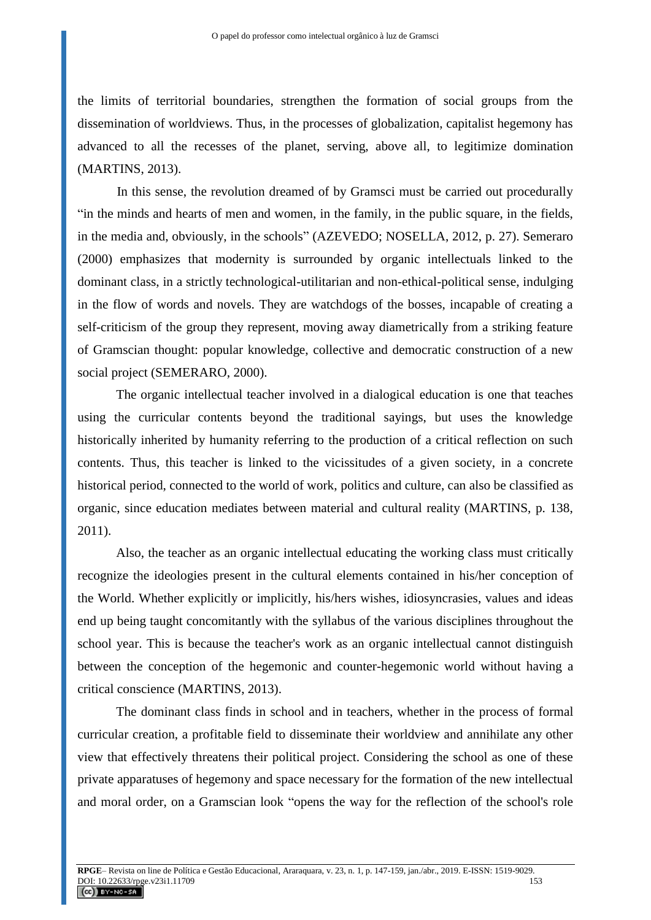the limits of territorial boundaries, strengthen the formation of social groups from the dissemination of worldviews. Thus, in the processes of globalization, capitalist hegemony has advanced to all the recesses of the planet, serving, above all, to legitimize domination (MARTINS, 2013).

In this sense, the revolution dreamed of by Gramsci must be carried out procedurally "in the minds and hearts of men and women, in the family, in the public square, in the fields, in the media and, obviously, in the schools" (AZEVEDO; NOSELLA, 2012, p. 27). Semeraro (2000) emphasizes that modernity is surrounded by organic intellectuals linked to the dominant class, in a strictly technological-utilitarian and non-ethical-political sense, indulging in the flow of words and novels. They are watchdogs of the bosses, incapable of creating a self-criticism of the group they represent, moving away diametrically from a striking feature of Gramscian thought: popular knowledge, collective and democratic construction of a new social project (SEMERARO, 2000).

The organic intellectual teacher involved in a dialogical education is one that teaches using the curricular contents beyond the traditional sayings, but uses the knowledge historically inherited by humanity referring to the production of a critical reflection on such contents. Thus, this teacher is linked to the vicissitudes of a given society, in a concrete historical period, connected to the world of work, politics and culture, can also be classified as organic, since education mediates between material and cultural reality (MARTINS, p. 138, 2011).

Also, the teacher as an organic intellectual educating the working class must critically recognize the ideologies present in the cultural elements contained in his/her conception of the World. Whether explicitly or implicitly, his/hers wishes, idiosyncrasies, values and ideas end up being taught concomitantly with the syllabus of the various disciplines throughout the school year. This is because the teacher's work as an organic intellectual cannot distinguish between the conception of the hegemonic and counter-hegemonic world without having a critical conscience (MARTINS, 2013).

The dominant class finds in school and in teachers, whether in the process of formal curricular creation, a profitable field to disseminate their worldview and annihilate any other view that effectively threatens their political project. Considering the school as one of these private apparatuses of hegemony and space necessary for the formation of the new intellectual and moral order, on a Gramscian look "opens the way for the reflection of the school's role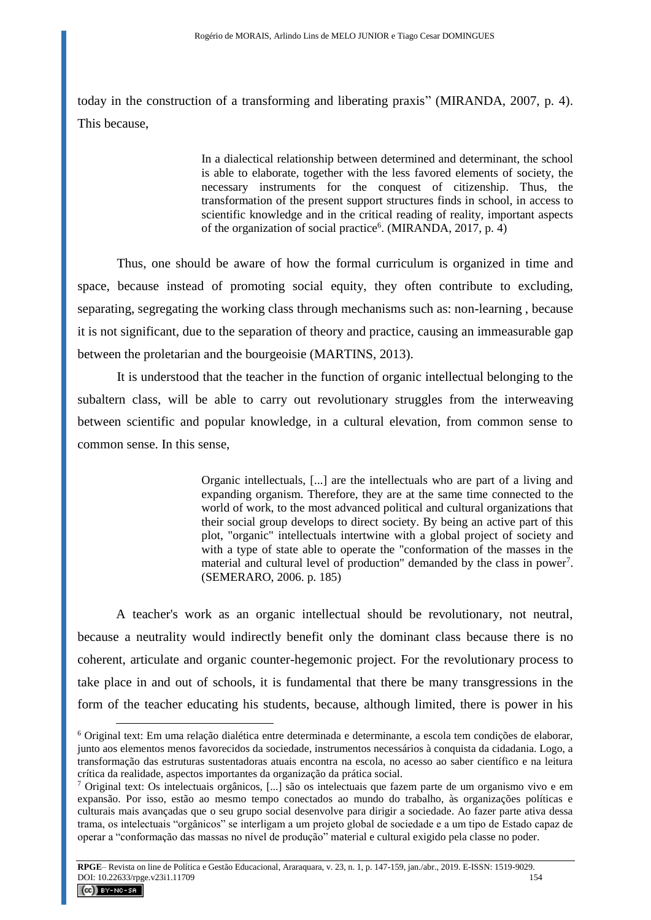today in the construction of a transforming and liberating praxis" (MIRANDA, 2007, p. 4). This because,

> In a dialectical relationship between determined and determinant, the school is able to elaborate, together with the less favored elements of society, the necessary instruments for the conquest of citizenship. Thus, the transformation of the present support structures finds in school, in access to scientific knowledge and in the critical reading of reality, important aspects of the organization of social practice<sup>6</sup>. (MIRANDA, 2017, p. 4)

Thus, one should be aware of how the formal curriculum is organized in time and space, because instead of promoting social equity, they often contribute to excluding, separating, segregating the working class through mechanisms such as: non-learning , because it is not significant, due to the separation of theory and practice, causing an immeasurable gap between the proletarian and the bourgeoisie (MARTINS, 2013).

It is understood that the teacher in the function of organic intellectual belonging to the subaltern class, will be able to carry out revolutionary struggles from the interweaving between scientific and popular knowledge, in a cultural elevation, from common sense to common sense. In this sense,

> Organic intellectuals, [...] are the intellectuals who are part of a living and expanding organism. Therefore, they are at the same time connected to the world of work, to the most advanced political and cultural organizations that their social group develops to direct society. By being an active part of this plot, "organic" intellectuals intertwine with a global project of society and with a type of state able to operate the "conformation of the masses in the material and cultural level of production" demanded by the class in power<sup>7</sup>. (SEMERARO, 2006. p. 185)

A teacher's work as an organic intellectual should be revolutionary, not neutral, because a neutrality would indirectly benefit only the dominant class because there is no coherent, articulate and organic counter-hegemonic project. For the revolutionary process to take place in and out of schools, it is fundamental that there be many transgressions in the form of the teacher educating his students, because, although limited, there is power in his



<sup>6</sup> Original text: Em uma relação dialética entre determinada e determinante, a escola tem condições de elaborar, junto aos elementos menos favorecidos da sociedade, instrumentos necessários à conquista da cidadania. Logo, a transformação das estruturas sustentadoras atuais encontra na escola, no acesso ao saber científico e na leitura crítica da realidade, aspectos importantes da organização da prática social.

<sup>7</sup> Original text: Os intelectuais orgânicos, [...] são os intelectuais que fazem parte de um organismo vivo e em expansão. Por isso, estão ao mesmo tempo conectados ao mundo do trabalho, às organizações políticas e culturais mais avançadas que o seu grupo social desenvolve para dirigir a sociedade. Ao fazer parte ativa dessa trama, os intelectuais "orgânicos" se interligam a um projeto global de sociedade e a um tipo de Estado capaz de operar a "conformação das massas no nível de produção" material e cultural exigido pela classe no poder.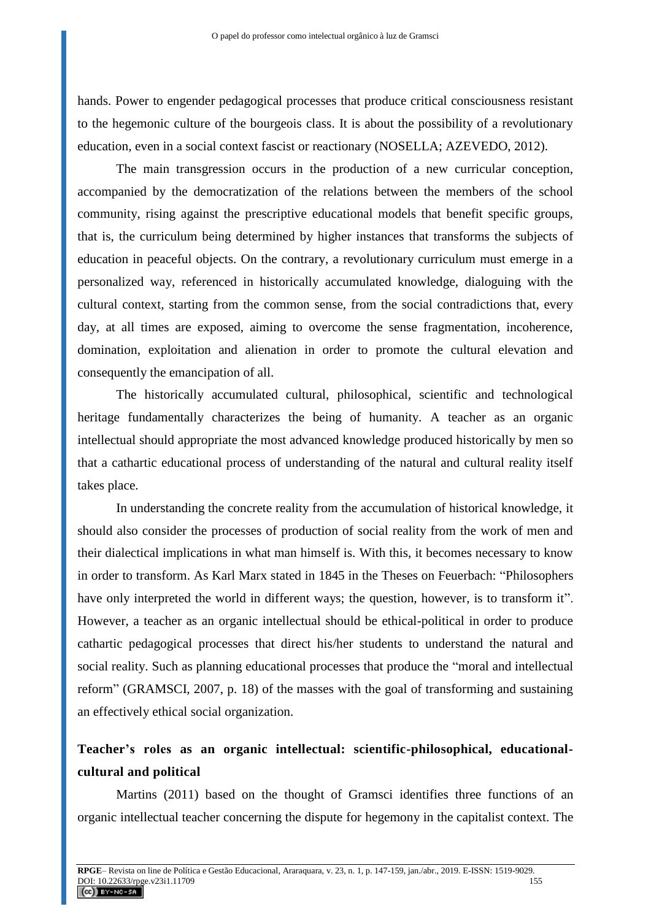hands. Power to engender pedagogical processes that produce critical consciousness resistant to the hegemonic culture of the bourgeois class. It is about the possibility of a revolutionary education, even in a social context fascist or reactionary (NOSELLA; AZEVEDO, 2012).

The main transgression occurs in the production of a new curricular conception, accompanied by the democratization of the relations between the members of the school community, rising against the prescriptive educational models that benefit specific groups, that is, the curriculum being determined by higher instances that transforms the subjects of education in peaceful objects. On the contrary, a revolutionary curriculum must emerge in a personalized way, referenced in historically accumulated knowledge, dialoguing with the cultural context, starting from the common sense, from the social contradictions that, every day, at all times are exposed, aiming to overcome the sense fragmentation, incoherence, domination, exploitation and alienation in order to promote the cultural elevation and consequently the emancipation of all.

The historically accumulated cultural, philosophical, scientific and technological heritage fundamentally characterizes the being of humanity. A teacher as an organic intellectual should appropriate the most advanced knowledge produced historically by men so that a cathartic educational process of understanding of the natural and cultural reality itself takes place.

In understanding the concrete reality from the accumulation of historical knowledge, it should also consider the processes of production of social reality from the work of men and their dialectical implications in what man himself is. With this, it becomes necessary to know in order to transform. As Karl Marx stated in 1845 in the Theses on Feuerbach: "Philosophers have only interpreted the world in different ways; the question, however, is to transform it". However, a teacher as an organic intellectual should be ethical-political in order to produce cathartic pedagogical processes that direct his/her students to understand the natural and social reality. Such as planning educational processes that produce the "moral and intellectual reform" (GRAMSCI, 2007, p. 18) of the masses with the goal of transforming and sustaining an effectively ethical social organization.

# **Teacher's roles as an organic intellectual: scientific-philosophical, educationalcultural and political**

Martins (2011) based on the thought of Gramsci identifies three functions of an organic intellectual teacher concerning the dispute for hegemony in the capitalist context. The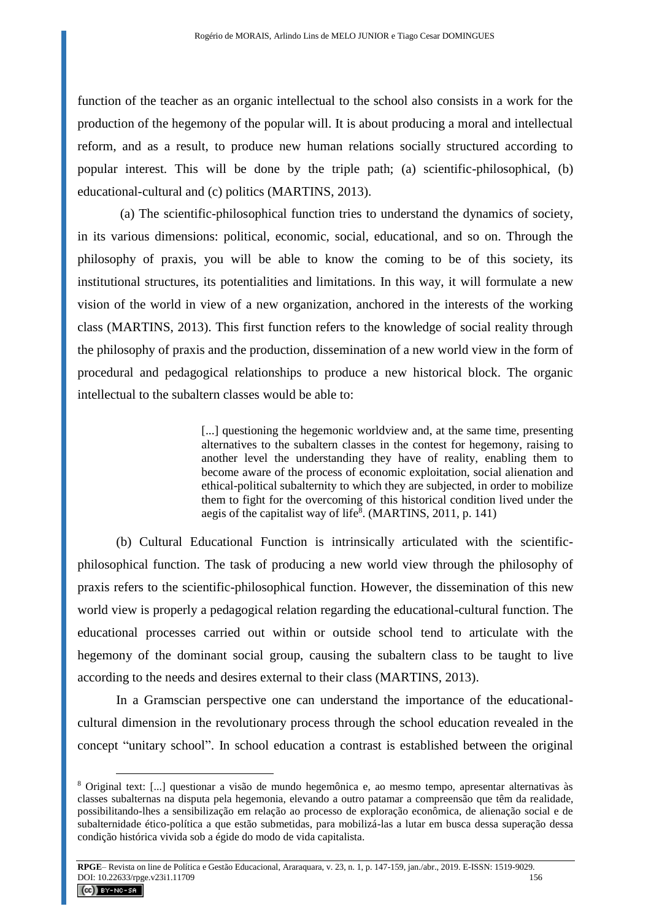function of the teacher as an organic intellectual to the school also consists in a work for the production of the hegemony of the popular will. It is about producing a moral and intellectual reform, and as a result, to produce new human relations socially structured according to popular interest. This will be done by the triple path; (a) scientific-philosophical, (b) educational-cultural and (c) politics (MARTINS, 2013).

(a) The scientific-philosophical function tries to understand the dynamics of society, in its various dimensions: political, economic, social, educational, and so on. Through the philosophy of praxis, you will be able to know the coming to be of this society, its institutional structures, its potentialities and limitations. In this way, it will formulate a new vision of the world in view of a new organization, anchored in the interests of the working class (MARTINS, 2013). This first function refers to the knowledge of social reality through the philosophy of praxis and the production, dissemination of a new world view in the form of procedural and pedagogical relationships to produce a new historical block. The organic intellectual to the subaltern classes would be able to:

> [...] questioning the hegemonic worldview and, at the same time, presenting alternatives to the subaltern classes in the contest for hegemony, raising to another level the understanding they have of reality, enabling them to become aware of the process of economic exploitation, social alienation and ethical-political subalternity to which they are subjected, in order to mobilize them to fight for the overcoming of this historical condition lived under the aegis of the capitalist way of life<sup>8</sup>. (MARTINS, 2011, p. 141)

(b) Cultural Educational Function is intrinsically articulated with the scientificphilosophical function. The task of producing a new world view through the philosophy of praxis refers to the scientific-philosophical function. However, the dissemination of this new world view is properly a pedagogical relation regarding the educational-cultural function. The educational processes carried out within or outside school tend to articulate with the hegemony of the dominant social group, causing the subaltern class to be taught to live according to the needs and desires external to their class (MARTINS, 2013).

In a Gramscian perspective one can understand the importance of the educationalcultural dimension in the revolutionary process through the school education revealed in the concept "unitary school". In school education a contrast is established between the original

<sup>8</sup> Original text: [...] questionar a visão de mundo hegemônica e, ao mesmo tempo, apresentar alternativas às classes subalternas na disputa pela hegemonia, elevando a outro patamar a compreensão que têm da realidade, possibilitando-lhes a sensibilização em relação ao processo de exploração econômica, de alienação social e de subalternidade ético-política a que estão submetidas, para mobilizá-las a lutar em busca dessa superação dessa condição histórica vivida sob a égide do modo de vida capitalista.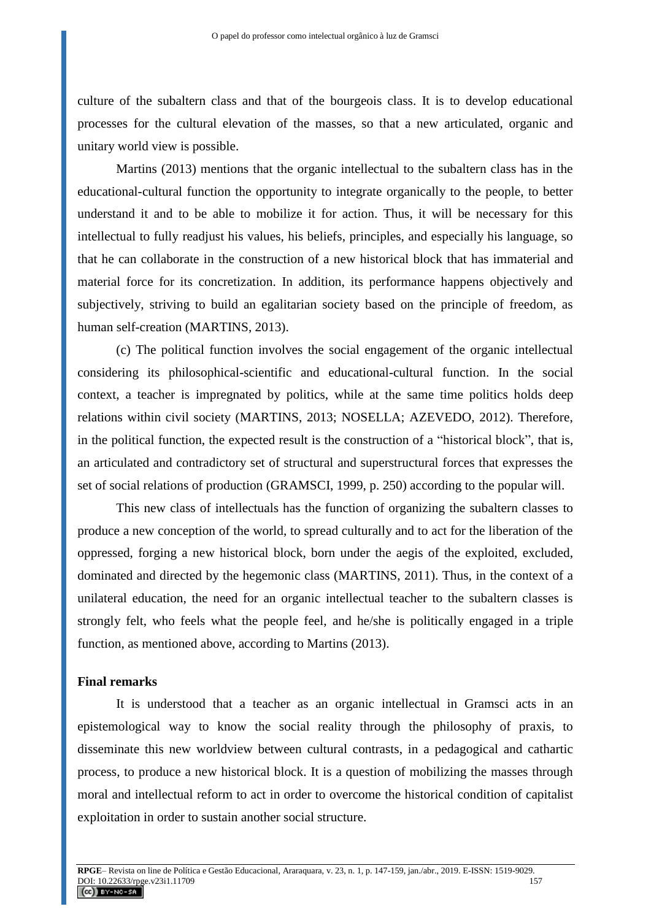culture of the subaltern class and that of the bourgeois class. It is to develop educational processes for the cultural elevation of the masses, so that a new articulated, organic and unitary world view is possible.

Martins (2013) mentions that the organic intellectual to the subaltern class has in the educational-cultural function the opportunity to integrate organically to the people, to better understand it and to be able to mobilize it for action. Thus, it will be necessary for this intellectual to fully readjust his values, his beliefs, principles, and especially his language, so that he can collaborate in the construction of a new historical block that has immaterial and material force for its concretization. In addition, its performance happens objectively and subjectively, striving to build an egalitarian society based on the principle of freedom, as human self-creation (MARTINS, 2013).

(c) The political function involves the social engagement of the organic intellectual considering its philosophical-scientific and educational-cultural function. In the social context, a teacher is impregnated by politics, while at the same time politics holds deep relations within civil society (MARTINS, 2013; NOSELLA; AZEVEDO, 2012). Therefore, in the political function, the expected result is the construction of a "historical block", that is, an articulated and contradictory set of structural and superstructural forces that expresses the set of social relations of production (GRAMSCI, 1999, p. 250) according to the popular will.

This new class of intellectuals has the function of organizing the subaltern classes to produce a new conception of the world, to spread culturally and to act for the liberation of the oppressed, forging a new historical block, born under the aegis of the exploited, excluded, dominated and directed by the hegemonic class (MARTINS, 2011). Thus, in the context of a unilateral education, the need for an organic intellectual teacher to the subaltern classes is strongly felt, who feels what the people feel, and he/she is politically engaged in a triple function, as mentioned above, according to Martins (2013).

#### **Final remarks**

It is understood that a teacher as an organic intellectual in Gramsci acts in an epistemological way to know the social reality through the philosophy of praxis, to disseminate this new worldview between cultural contrasts, in a pedagogical and cathartic process, to produce a new historical block. It is a question of mobilizing the masses through moral and intellectual reform to act in order to overcome the historical condition of capitalist exploitation in order to sustain another social structure.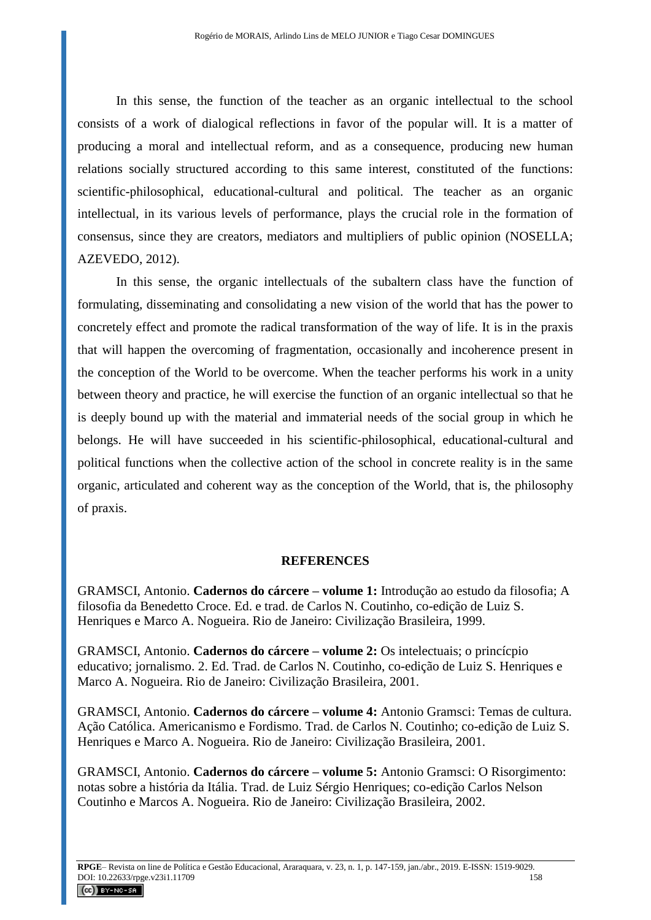In this sense, the function of the teacher as an organic intellectual to the school consists of a work of dialogical reflections in favor of the popular will. It is a matter of producing a moral and intellectual reform, and as a consequence, producing new human relations socially structured according to this same interest, constituted of the functions: scientific-philosophical, educational-cultural and political. The teacher as an organic intellectual, in its various levels of performance, plays the crucial role in the formation of consensus, since they are creators, mediators and multipliers of public opinion (NOSELLA; AZEVEDO, 2012).

In this sense, the organic intellectuals of the subaltern class have the function of formulating, disseminating and consolidating a new vision of the world that has the power to concretely effect and promote the radical transformation of the way of life. It is in the praxis that will happen the overcoming of fragmentation, occasionally and incoherence present in the conception of the World to be overcome. When the teacher performs his work in a unity between theory and practice, he will exercise the function of an organic intellectual so that he is deeply bound up with the material and immaterial needs of the social group in which he belongs. He will have succeeded in his scientific-philosophical, educational-cultural and political functions when the collective action of the school in concrete reality is in the same organic, articulated and coherent way as the conception of the World, that is, the philosophy of praxis.

## **REFERENCES**

GRAMSCI, Antonio. **Cadernos do cárcere – volume 1:** Introdução ao estudo da filosofia; A filosofia da Benedetto Croce. Ed. e trad. de Carlos N. Coutinho, co-edição de Luiz S. Henriques e Marco A. Nogueira. Rio de Janeiro: Civilização Brasileira, 1999.

GRAMSCI, Antonio. **Cadernos do cárcere – volume 2:** Os intelectuais; o princícpio educativo; jornalismo. 2. Ed. Trad. de Carlos N. Coutinho, co-edição de Luiz S. Henriques e Marco A. Nogueira. Rio de Janeiro: Civilização Brasileira, 2001.

GRAMSCI, Antonio. **Cadernos do cárcere – volume 4:** Antonio Gramsci: Temas de cultura. Ação Católica. Americanismo e Fordismo. Trad. de Carlos N. Coutinho; co-edição de Luiz S. Henriques e Marco A. Nogueira. Rio de Janeiro: Civilização Brasileira, 2001.

GRAMSCI, Antonio. **Cadernos do cárcere – volume 5:** Antonio Gramsci: O Risorgimento: notas sobre a história da Itália. Trad. de Luiz Sérgio Henriques; co-edição Carlos Nelson Coutinho e Marcos A. Nogueira. Rio de Janeiro: Civilização Brasileira, 2002.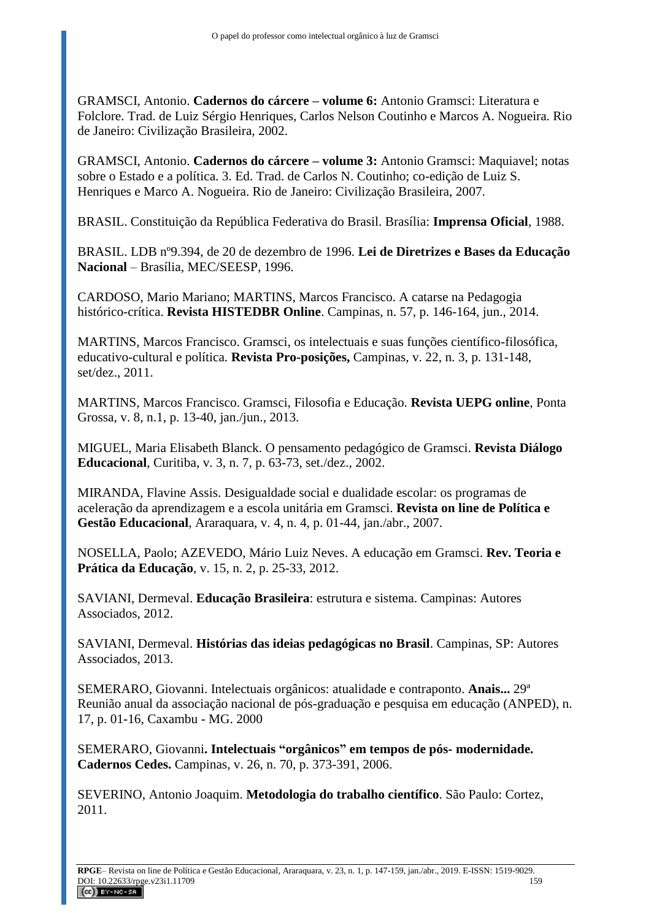GRAMSCI, Antonio. **Cadernos do cárcere – volume 6:** Antonio Gramsci: Literatura e Folclore. Trad. de Luiz Sérgio Henriques, Carlos Nelson Coutinho e Marcos A. Nogueira. Rio de Janeiro: Civilização Brasileira, 2002.

GRAMSCI, Antonio. **Cadernos do cárcere – volume 3:** Antonio Gramsci: Maquiavel; notas sobre o Estado e a política. 3. Ed. Trad. de Carlos N. Coutinho; co-edição de Luiz S. Henriques e Marco A. Nogueira. Rio de Janeiro: Civilização Brasileira, 2007.

BRASIL. Constituição da República Federativa do Brasil. Brasília: **Imprensa Oficial**, 1988.

BRASIL. LDB nº9.394, de 20 de dezembro de 1996. **Lei de Diretrizes e Bases da Educação Nacional** – Brasília, MEC/SEESP, 1996.

CARDOSO, Mario Mariano; MARTINS, Marcos Francisco. A catarse na Pedagogia histórico-crítica. **Revista HISTEDBR Online**. Campinas, n. 57, p. 146-164, jun., 2014.

MARTINS, Marcos Francisco. Gramsci, os intelectuais e suas funções científico-filosófica, educativo-cultural e política. **Revista Pro-posições,** Campinas, v. 22, n. 3, p. 131-148, set/dez., 2011.

MARTINS, Marcos Francisco. Gramsci, Filosofia e Educação. **Revista UEPG online**, Ponta Grossa, v. 8, n.1, p. 13-40, jan./jun., 2013.

MIGUEL, Maria Elisabeth Blanck. O pensamento pedagógico de Gramsci. **Revista Diálogo Educacional**, Curitiba, v. 3, n. 7, p. 63-73, set./dez., 2002.

MIRANDA, Flavine Assis. Desigualdade social e dualidade escolar: os programas de aceleração da aprendizagem e a escola unitária em Gramsci. **Revista on line de Política e Gestão Educacional**, Araraquara, v. 4, n. 4, p. 01-44, jan./abr., 2007.

NOSELLA, Paolo; AZEVEDO, Mário Luiz Neves. A educação em Gramsci. **Rev. Teoria e Prática da Educação**, v. 15, n. 2, p. 25-33, 2012.

SAVIANI, Dermeval. **Educação Brasileira**: estrutura e sistema. Campinas: Autores Associados, 2012.

SAVIANI, Dermeval. **Histórias das ideias pedagógicas no Brasil**. Campinas, SP: Autores Associados, 2013.

SEMERARO, Giovanni. Intelectuais orgânicos: atualidade e contraponto. **Anais...** 29ª Reunião anual da associação nacional de pós-graduação e pesquisa em educação (ANPED), n. 17, p. 01-16, Caxambu - MG. 2000

SEMERARO, Giovanni**. Intelectuais "orgânicos" em tempos de pós- modernidade. Cadernos Cedes.** Campinas, v. 26, n. 70, p. 373-391, 2006.

SEVERINO, Antonio Joaquim. **Metodologia do trabalho científico**. São Paulo: Cortez, 2011.